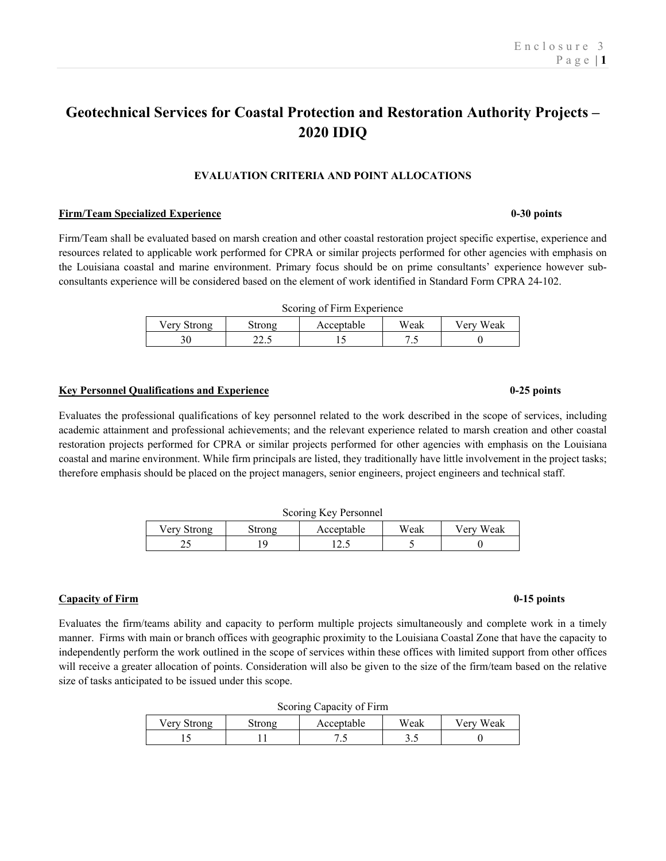# **Geotechnical Services for Coastal Protection and Restoration Authority Projects – 2020 IDIQ**

### **EVALUATION CRITERIA AND POINT ALLOCATIONS**

### **Firm/Team Specialized Experience 6-30 points 10-30 points 10-30 points**   $0-30$  points

Firm/Team shall be evaluated based on marsh creation and other coastal restoration project specific expertise, experience and resources related to applicable work performed for CPRA or similar projects performed for other agencies with emphasis on the Louisiana coastal and marine environment. Primary focus should be on prime consultants' experience however subconsultants experience will be considered based on the element of work identified in Standard Form CPRA 24-102.

### **Key Personnel Qualifications and Experience 120 COVID-120 COVID-120 COVID-120 COVID-125 points**  0-25 points

Evaluates the professional qualifications of key personnel related to the work described in the scope of services, including academic attainment and professional achievements; and the relevant experience related to marsh creation and other coastal restoration projects performed for CPRA or similar projects performed for other agencies with emphasis on the Louisiana coastal and marine environment. While firm principals are listed, they traditionally have little involvement in the project tasks; therefore emphasis should be placed on the project managers, senior engineers, project engineers and technical staff.

| Scoring Key Personnel |        |            |      |           |  |
|-----------------------|--------|------------|------|-----------|--|
| Very Strong           | Strong | Acceptable | Weak | Very Weak |  |
|                       |        |            |      |           |  |

### **Capacity of Firm 0-15 points**

Evaluates the firm/teams ability and capacity to perform multiple projects simultaneously and complete work in a timely manner. Firms with main or branch offices with geographic proximity to the Louisiana Coastal Zone that have the capacity to independently perform the work outlined in the scope of services within these offices with limited support from other offices will receive a greater allocation of points. Consideration will also be given to the size of the firm/team based on the relative size of tasks anticipated to be issued under this scope.

| SCOTING Capacity Of FITH |        |            |      |           |  |
|--------------------------|--------|------------|------|-----------|--|
| Very Strong              | strong | Acceptable | Weak | Verv Weak |  |
|                          |        | $\cdot$    | ن د  |           |  |

Scoring Capacity of Firm

### Scoring of Firm Experience

Very Strong | Strong | Acceptable | Weak | Very Weak 30 | 22.5 | 15 | 7.5 | 0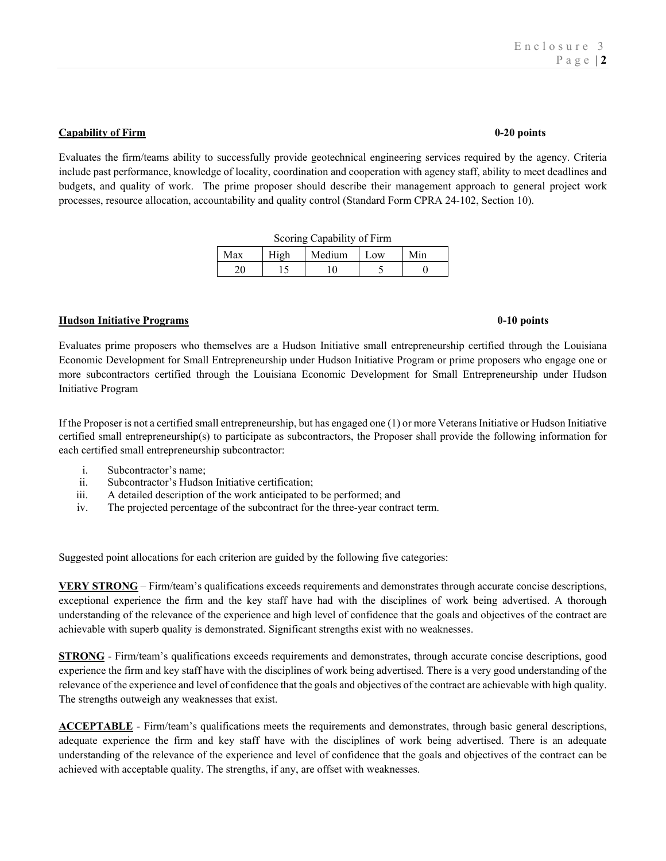## **Capability of Firm 0-20 points**

Evaluates the firm/teams ability to successfully provide geotechnical engineering services required by the agency. Criteria include past performance, knowledge of locality, coordination and cooperation with agency staff, ability to meet deadlines and budgets, and quality of work. The prime proposer should describe their management approach to general project work processes, resource allocation, accountability and quality control (Standard Form CPRA 24-102, Section 10).

| Scoring Capability of Firm |      |        |     |     |
|----------------------------|------|--------|-----|-----|
| Max                        | High | Medium | Low | Min |
| or                         |      |        |     |     |

### **Hudson Initiative Programs 0-10 points**

Evaluates prime proposers who themselves are a Hudson Initiative small entrepreneurship certified through the Louisiana Economic Development for Small Entrepreneurship under Hudson Initiative Program or prime proposers who engage one or more subcontractors certified through the Louisiana Economic Development for Small Entrepreneurship under Hudson Initiative Program

If the Proposer is not a certified small entrepreneurship, but has engaged one (1) or more Veterans Initiative or Hudson Initiative certified small entrepreneurship(s) to participate as subcontractors, the Proposer shall provide the following information for each certified small entrepreneurship subcontractor:

- i. Subcontractor's name;
- ii. Subcontractor's Hudson Initiative certification;
- iii. A detailed description of the work anticipated to be performed; and
- iv. The projected percentage of the subcontract for the three-year contract term.

Suggested point allocations for each criterion are guided by the following five categories:

**VERY STRONG** – Firm/team's qualifications exceeds requirements and demonstrates through accurate concise descriptions, exceptional experience the firm and the key staff have had with the disciplines of work being advertised. A thorough understanding of the relevance of the experience and high level of confidence that the goals and objectives of the contract are achievable with superb quality is demonstrated. Significant strengths exist with no weaknesses.

**STRONG** - Firm/team's qualifications exceeds requirements and demonstrates, through accurate concise descriptions, good experience the firm and key staff have with the disciplines of work being advertised. There is a very good understanding of the relevance of the experience and level of confidence that the goals and objectives of the contract are achievable with high quality. The strengths outweigh any weaknesses that exist.

**ACCEPTABLE** - Firm/team's qualifications meets the requirements and demonstrates, through basic general descriptions, adequate experience the firm and key staff have with the disciplines of work being advertised. There is an adequate understanding of the relevance of the experience and level of confidence that the goals and objectives of the contract can be achieved with acceptable quality. The strengths, if any, are offset with weaknesses.